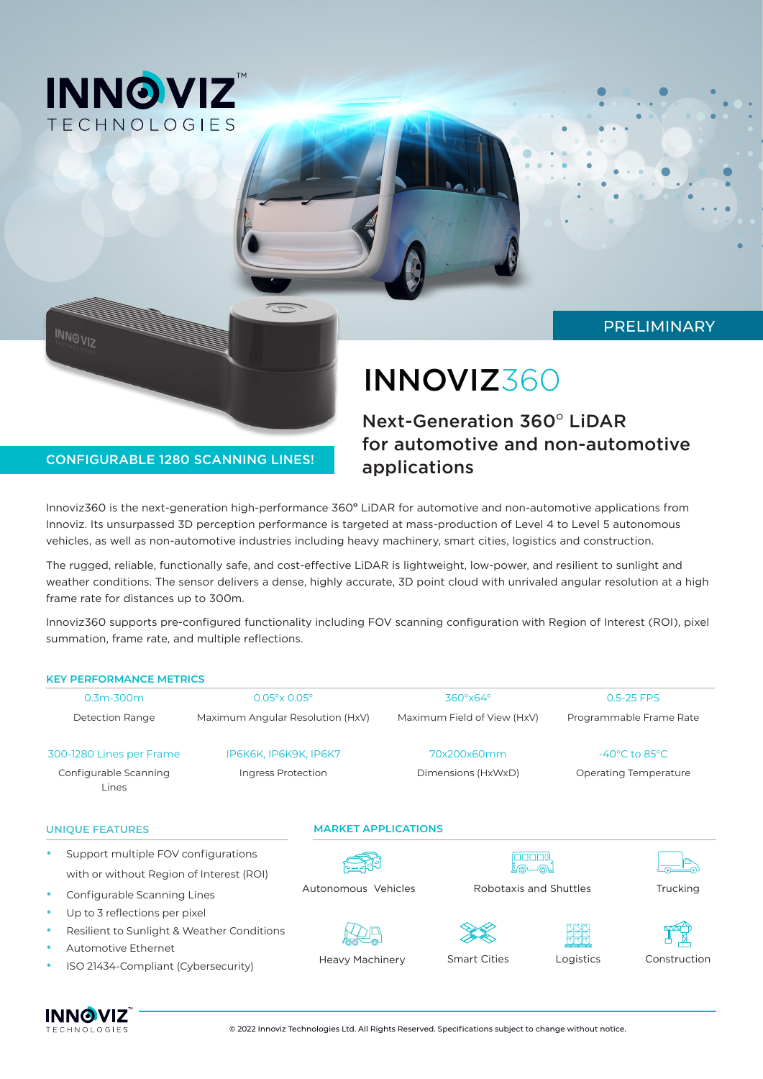

**INNOVIZ** 

## PRELIMINARY

# INNOVIZ360

## Next-Generation 360° LiDAR for automotive and non-automotive applications

## CONFIGURABLE 1280 SCANNING LINES!

Innoviz360 is the next-generation high-performance 360° LiDAR for automotive and non-automotive applications from Innoviz. Its unsurpassed 3D perception performance is targeted at mass-production of Level 4 to Level 5 autonomous vehicles, as well as non-automotive industries including heavy machinery, smart cities, logistics and construction.

The rugged, reliable, functionally safe, and cost-effective LiDAR is lightweight, low-power, and resilient to sunlight and weather conditions. The sensor delivers a dense, highly accurate, 3D point cloud with unrivaled angular resolution at a high frame rate for distances up to 300m.

Innoviz360 supports pre-configured functionality including FOV scanning configuration with Region of Interest (ROI), pixel summation, frame rate, and multiple reflections.

#### **KEY PERFORMANCE METRICS**

| $0.3m - 300m$<br>$0.05^\circ \times 0.05^\circ$<br>Detection Range<br>IP6K6K, IP6K9K, IP6K7<br>300-1280 Lines per Frame<br>Configurable Scanning<br>Ingress Protection<br>Lines |                                                                                                                                                                                                                                                             |  |                                  | 360°x64°           |                             | 0.5-25 FPS<br>Programmable Frame Rate<br>$-40^{\circ}$ C to 85 $^{\circ}$ C<br><b>Operating Temperature</b> |              |  |
|---------------------------------------------------------------------------------------------------------------------------------------------------------------------------------|-------------------------------------------------------------------------------------------------------------------------------------------------------------------------------------------------------------------------------------------------------------|--|----------------------------------|--------------------|-----------------------------|-------------------------------------------------------------------------------------------------------------|--------------|--|
|                                                                                                                                                                                 |                                                                                                                                                                                                                                                             |  | Maximum Angular Resolution (HxV) |                    | Maximum Field of View (HxV) |                                                                                                             |              |  |
|                                                                                                                                                                                 |                                                                                                                                                                                                                                                             |  | 70x200x60mm                      |                    |                             |                                                                                                             |              |  |
|                                                                                                                                                                                 |                                                                                                                                                                                                                                                             |  |                                  | Dimensions (HxWxD) |                             |                                                                                                             |              |  |
|                                                                                                                                                                                 | <b>UNIQUE FEATURES</b>                                                                                                                                                                                                                                      |  | <b>MARKET APPLICATIONS</b>       |                    |                             |                                                                                                             |              |  |
|                                                                                                                                                                                 | Support multiple FOV configurations<br>with or without Region of Interest (ROI)<br>Configurable Scanning Lines<br>Up to 3 reflections per pixel<br>Resilient to Sunlight & Weather Conditions<br>Automotive Ethernet<br>ISO 21434-Compliant (Cybersecurity) |  |                                  |                    |                             |                                                                                                             |              |  |
| ٠                                                                                                                                                                               |                                                                                                                                                                                                                                                             |  | Autonomous Vehicles              |                    | Robotaxis and Shuttles      |                                                                                                             | Trucking     |  |
| ٠<br>۰<br>۰                                                                                                                                                                     |                                                                                                                                                                                                                                                             |  | <b>Heavy Machinery</b>           |                    | <b>Smart Cities</b>         | Logistics                                                                                                   | Construction |  |



© 2022 Innoviz Technologies Ltd. All Rights Reserved. Specifications subject to change without notice.